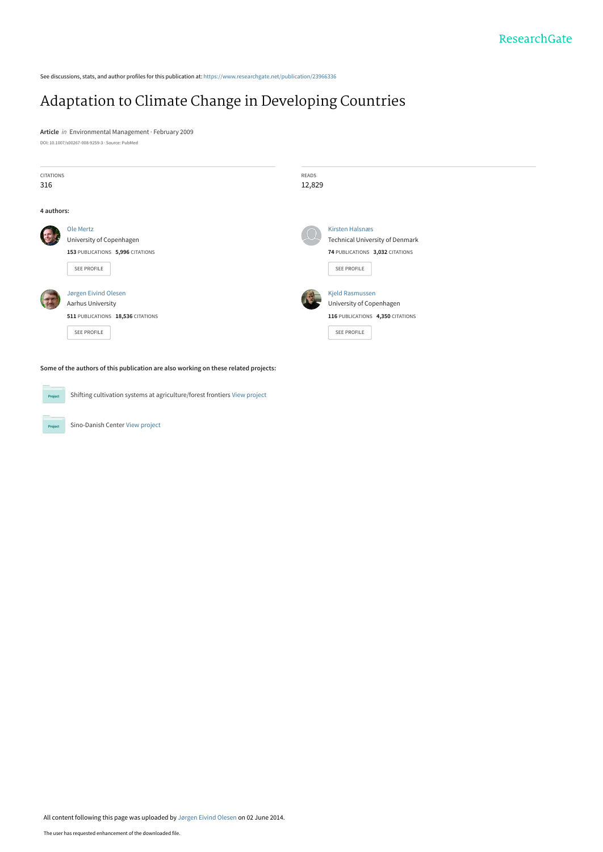See discussions, stats, and author profiles for this publication at: [https://www.researchgate.net/publication/23966336](https://www.researchgate.net/publication/23966336_Adaptation_to_Climate_Change_in_Developing_Countries?enrichId=rgreq-9bbafceff6b1f99523126efbc4c06bf4-XXX&enrichSource=Y292ZXJQYWdlOzIzOTY2MzM2O0FTOjEwMzUzODQ5OTc4NDcxNkAxNDAxNjk2OTExMDk4&el=1_x_2&_esc=publicationCoverPdf)

# [Adaptation to Climate Change in Developing Countries](https://www.researchgate.net/publication/23966336_Adaptation_to_Climate_Change_in_Developing_Countries?enrichId=rgreq-9bbafceff6b1f99523126efbc4c06bf4-XXX&enrichSource=Y292ZXJQYWdlOzIzOTY2MzM2O0FTOjEwMzUzODQ5OTc4NDcxNkAxNDAxNjk2OTExMDk4&el=1_x_3&_esc=publicationCoverPdf)

**Article** in Environmental Management · February 2009 DOI: 10.1007/s00267-008-9259-3 · Source: PubMed

| <b>CITATIONS</b>                                                                    |                                   | <b>READS</b> |                                        |
|-------------------------------------------------------------------------------------|-----------------------------------|--------------|----------------------------------------|
| 316                                                                                 |                                   | 12,829       |                                        |
|                                                                                     |                                   |              |                                        |
| 4 authors:                                                                          |                                   |              |                                        |
|                                                                                     | Ole Mertz                         |              | <b>Kirsten Halsnæs</b>                 |
|                                                                                     | University of Copenhagen          |              | <b>Technical University of Denmark</b> |
|                                                                                     | 153 PUBLICATIONS 5,996 CITATIONS  |              | 74 PUBLICATIONS 3,032 CITATIONS        |
|                                                                                     | SEE PROFILE                       |              | <b>SEE PROFILE</b>                     |
|                                                                                     |                                   |              |                                        |
|                                                                                     | Jørgen Eivind Olesen              |              | <b>Kjeld Rasmussen</b>                 |
|                                                                                     | Aarhus University                 |              | University of Copenhagen               |
|                                                                                     | 511 PUBLICATIONS 18,536 CITATIONS |              | 116 PUBLICATIONS 4,350 CITATIONS       |
|                                                                                     | SEE PROFILE                       |              | SEE PROFILE                            |
|                                                                                     |                                   |              |                                        |
|                                                                                     |                                   |              |                                        |
| Some of the authors of this publication are also working on these related projects: |                                   |              |                                        |

**Project** Shifting cultivation systems at agriculture/forest frontiers [View project](https://www.researchgate.net/project/Shifting-cultivation-systems-at-agriculture-forest-frontiers?enrichId=rgreq-9bbafceff6b1f99523126efbc4c06bf4-XXX&enrichSource=Y292ZXJQYWdlOzIzOTY2MzM2O0FTOjEwMzUzODQ5OTc4NDcxNkAxNDAxNjk2OTExMDk4&el=1_x_9&_esc=publicationCoverPdf)

Sino-Danish Center [View project](https://www.researchgate.net/project/Sino-Danish-Center?enrichId=rgreq-9bbafceff6b1f99523126efbc4c06bf4-XXX&enrichSource=Y292ZXJQYWdlOzIzOTY2MzM2O0FTOjEwMzUzODQ5OTc4NDcxNkAxNDAxNjk2OTExMDk4&el=1_x_9&_esc=publicationCoverPdf)

Project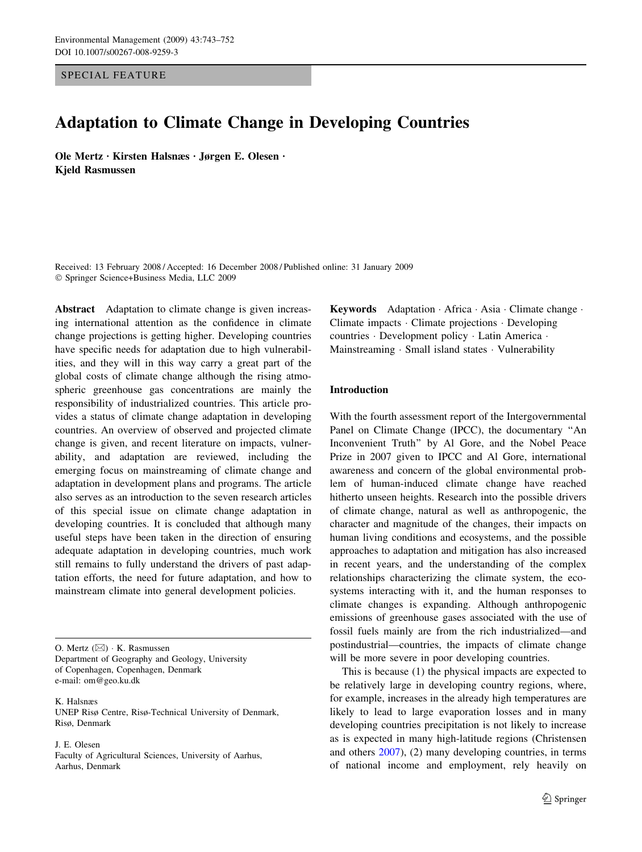SPECIAL FEATURE

## Adaptation to Climate Change in Developing Countries

Ole Mertz · Kirsten Halsnæs · Jørgen E. Olesen · Kjeld Rasmussen

Received: 13 February 2008 / Accepted: 16 December 2008 / Published online: 31 January 2009 Springer Science+Business Media, LLC 2009

Abstract Adaptation to climate change is given increasing international attention as the confidence in climate change projections is getting higher. Developing countries have specific needs for adaptation due to high vulnerabilities, and they will in this way carry a great part of the global costs of climate change although the rising atmospheric greenhouse gas concentrations are mainly the responsibility of industrialized countries. This article provides a status of climate change adaptation in developing countries. An overview of observed and projected climate change is given, and recent literature on impacts, vulnerability, and adaptation are reviewed, including the emerging focus on mainstreaming of climate change and adaptation in development plans and programs. The article also serves as an introduction to the seven research articles of this special issue on climate change adaptation in developing countries. It is concluded that although many useful steps have been taken in the direction of ensuring adequate adaptation in developing countries, much work still remains to fully understand the drivers of past adaptation efforts, the need for future adaptation, and how to mainstream climate into general development policies.

O. Mertz  $(\boxtimes) \cdot$  K. Rasmussen Department of Geography and Geology, University of Copenhagen, Copenhagen, Denmark e-mail: om@geo.ku.dk

K. Halsnæs UNEP Risø Centre, Risø-Technical University of Denmark, Risø, Denmark

J. E. Olesen Faculty of Agricultural Sciences, University of Aarhus, Aarhus, Denmark

**Keywords** Adaptation  $\cdot$  Africa  $\cdot$  Asia  $\cdot$  Climate change  $\cdot$ Climate impacts  $\cdot$  Climate projections  $\cdot$  Developing countries · Development policy · Latin America · Mainstreaming · Small island states · Vulnerability

### Introduction

With the fourth assessment report of the Intergovernmental Panel on Climate Change (IPCC), the documentary ''An Inconvenient Truth'' by Al Gore, and the Nobel Peace Prize in 2007 given to IPCC and Al Gore, international awareness and concern of the global environmental problem of human-induced climate change have reached hitherto unseen heights. Research into the possible drivers of climate change, natural as well as anthropogenic, the character and magnitude of the changes, their impacts on human living conditions and ecosystems, and the possible approaches to adaptation and mitigation has also increased in recent years, and the understanding of the complex relationships characterizing the climate system, the ecosystems interacting with it, and the human responses to climate changes is expanding. Although anthropogenic emissions of greenhouse gases associated with the use of fossil fuels mainly are from the rich industrialized—and postindustrial—countries, the impacts of climate change will be more severe in poor developing countries.

This is because (1) the physical impacts are expected to be relatively large in developing country regions, where, for example, increases in the already high temperatures are likely to lead to large evaporation losses and in many developing countries precipitation is not likely to increase as is expected in many high-latitude regions (Christensen and others [2007](#page-9-0)), (2) many developing countries, in terms of national income and employment, rely heavily on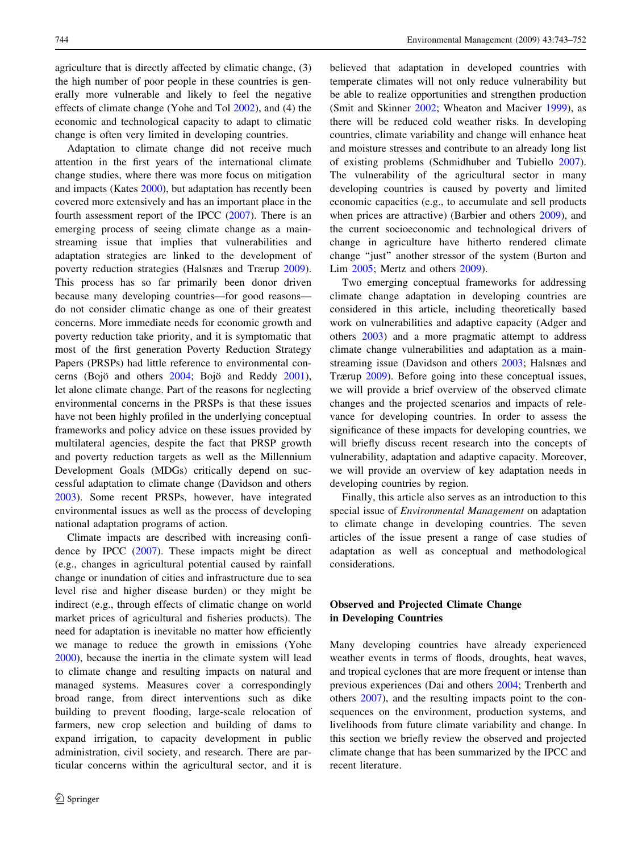agriculture that is directly affected by climatic change, (3) the high number of poor people in these countries is generally more vulnerable and likely to feel the negative effects of climate change (Yohe and Tol [2002\)](#page-10-0), and (4) the economic and technological capacity to adapt to climatic change is often very limited in developing countries.

Adaptation to climate change did not receive much attention in the first years of the international climate change studies, where there was more focus on mitigation and impacts (Kates [2000\)](#page-9-0), but adaptation has recently been covered more extensively and has an important place in the fourth assessment report of the IPCC [\(2007](#page-9-0)). There is an emerging process of seeing climate change as a mainstreaming issue that implies that vulnerabilities and adaptation strategies are linked to the development of poverty reduction strategies (Halsnæs and Trærup [2009](#page-9-0)). This process has so far primarily been donor driven because many developing countries—for good reasons do not consider climatic change as one of their greatest concerns. More immediate needs for economic growth and poverty reduction take priority, and it is symptomatic that most of the first generation Poverty Reduction Strategy Papers (PRSPs) had little reference to environmental con-cerns (Bojö and others [2004](#page-9-0); Bojö and Reddy [2001](#page-9-0)), let alone climate change. Part of the reasons for neglecting environmental concerns in the PRSPs is that these issues have not been highly profiled in the underlying conceptual frameworks and policy advice on these issues provided by multilateral agencies, despite the fact that PRSP growth and poverty reduction targets as well as the Millennium Development Goals (MDGs) critically depend on successful adaptation to climate change (Davidson and others [2003\)](#page-9-0). Some recent PRSPs, however, have integrated environmental issues as well as the process of developing national adaptation programs of action.

Climate impacts are described with increasing confidence by IPCC ([2007\)](#page-9-0). These impacts might be direct (e.g., changes in agricultural potential caused by rainfall change or inundation of cities and infrastructure due to sea level rise and higher disease burden) or they might be indirect (e.g., through effects of climatic change on world market prices of agricultural and fisheries products). The need for adaptation is inevitable no matter how efficiently we manage to reduce the growth in emissions (Yohe [2000\)](#page-10-0), because the inertia in the climate system will lead to climate change and resulting impacts on natural and managed systems. Measures cover a correspondingly broad range, from direct interventions such as dike building to prevent flooding, large-scale relocation of farmers, new crop selection and building of dams to expand irrigation, to capacity development in public administration, civil society, and research. There are particular concerns within the agricultural sector, and it is believed that adaptation in developed countries with temperate climates will not only reduce vulnerability but be able to realize opportunities and strengthen production (Smit and Skinner [2002;](#page-10-0) Wheaton and Maciver [1999](#page-10-0)), as there will be reduced cold weather risks. In developing countries, climate variability and change will enhance heat and moisture stresses and contribute to an already long list of existing problems (Schmidhuber and Tubiello [2007](#page-10-0)). The vulnerability of the agricultural sector in many developing countries is caused by poverty and limited economic capacities (e.g., to accumulate and sell products when prices are attractive) (Barbier and others [2009\)](#page-9-0), and the current socioeconomic and technological drivers of change in agriculture have hitherto rendered climate change ''just'' another stressor of the system (Burton and Lim [2005;](#page-9-0) Mertz and others [2009\)](#page-10-0).

Two emerging conceptual frameworks for addressing climate change adaptation in developing countries are considered in this article, including theoretically based work on vulnerabilities and adaptive capacity (Adger and others [2003\)](#page-8-0) and a more pragmatic attempt to address climate change vulnerabilities and adaptation as a mainstreaming issue (Davidson and others [2003](#page-9-0); Halsnæs and Trærup [2009](#page-9-0)). Before going into these conceptual issues, we will provide a brief overview of the observed climate changes and the projected scenarios and impacts of relevance for developing countries. In order to assess the significance of these impacts for developing countries, we will briefly discuss recent research into the concepts of vulnerability, adaptation and adaptive capacity. Moreover, we will provide an overview of key adaptation needs in developing countries by region.

Finally, this article also serves as an introduction to this special issue of Environmental Management on adaptation to climate change in developing countries. The seven articles of the issue present a range of case studies of adaptation as well as conceptual and methodological considerations.

## Observed and Projected Climate Change in Developing Countries

Many developing countries have already experienced weather events in terms of floods, droughts, heat waves, and tropical cyclones that are more frequent or intense than previous experiences (Dai and others [2004;](#page-9-0) Trenberth and others [2007\)](#page-10-0), and the resulting impacts point to the consequences on the environment, production systems, and livelihoods from future climate variability and change. In this section we briefly review the observed and projected climate change that has been summarized by the IPCC and recent literature.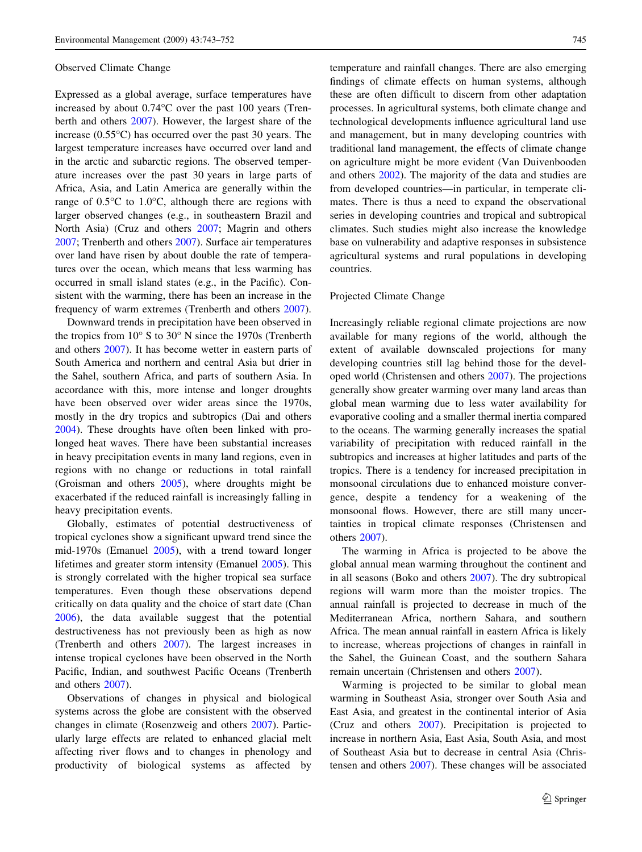#### Observed Climate Change

Expressed as a global average, surface temperatures have increased by about  $0.74^{\circ}$ C over the past 100 years (Trenberth and others [2007\)](#page-10-0). However, the largest share of the increase (0.55°C) has occurred over the past 30 years. The largest temperature increases have occurred over land and in the arctic and subarctic regions. The observed temperature increases over the past 30 years in large parts of Africa, Asia, and Latin America are generally within the range of  $0.5^{\circ}$ C to 1.0 $^{\circ}$ C, although there are regions with larger observed changes (e.g., in southeastern Brazil and North Asia) (Cruz and others [2007;](#page-9-0) Magrin and others [2007;](#page-9-0) Trenberth and others [2007\)](#page-10-0). Surface air temperatures over land have risen by about double the rate of temperatures over the ocean, which means that less warming has occurred in small island states (e.g., in the Pacific). Consistent with the warming, there has been an increase in the frequency of warm extremes (Trenberth and others [2007](#page-10-0)).

Downward trends in precipitation have been observed in the tropics from  $10^{\circ}$  S to  $30^{\circ}$  N since the 1970s (Trenberth and others [2007\)](#page-10-0). It has become wetter in eastern parts of South America and northern and central Asia but drier in the Sahel, southern Africa, and parts of southern Asia. In accordance with this, more intense and longer droughts have been observed over wider areas since the 1970s, mostly in the dry tropics and subtropics (Dai and others [2004\)](#page-9-0). These droughts have often been linked with prolonged heat waves. There have been substantial increases in heavy precipitation events in many land regions, even in regions with no change or reductions in total rainfall (Groisman and others [2005](#page-9-0)), where droughts might be exacerbated if the reduced rainfall is increasingly falling in heavy precipitation events.

Globally, estimates of potential destructiveness of tropical cyclones show a significant upward trend since the mid-1970s (Emanuel [2005\)](#page-9-0), with a trend toward longer lifetimes and greater storm intensity (Emanuel [2005\)](#page-9-0). This is strongly correlated with the higher tropical sea surface temperatures. Even though these observations depend critically on data quality and the choice of start date (Chan [2006\)](#page-9-0), the data available suggest that the potential destructiveness has not previously been as high as now (Trenberth and others [2007](#page-10-0)). The largest increases in intense tropical cyclones have been observed in the North Pacific, Indian, and southwest Pacific Oceans (Trenberth and others [2007\)](#page-10-0).

Observations of changes in physical and biological systems across the globe are consistent with the observed changes in climate (Rosenzweig and others [2007](#page-10-0)). Particularly large effects are related to enhanced glacial melt affecting river flows and to changes in phenology and productivity of biological systems as affected by

temperature and rainfall changes. There are also emerging findings of climate effects on human systems, although these are often difficult to discern from other adaptation processes. In agricultural systems, both climate change and technological developments influence agricultural land use and management, but in many developing countries with traditional land management, the effects of climate change on agriculture might be more evident (Van Duivenbooden and others [2002](#page-10-0)). The majority of the data and studies are from developed countries—in particular, in temperate climates. There is thus a need to expand the observational series in developing countries and tropical and subtropical climates. Such studies might also increase the knowledge base on vulnerability and adaptive responses in subsistence agricultural systems and rural populations in developing countries.

#### Projected Climate Change

Increasingly reliable regional climate projections are now available for many regions of the world, although the extent of available downscaled projections for many developing countries still lag behind those for the developed world (Christensen and others [2007\)](#page-9-0). The projections generally show greater warming over many land areas than global mean warming due to less water availability for evaporative cooling and a smaller thermal inertia compared to the oceans. The warming generally increases the spatial variability of precipitation with reduced rainfall in the subtropics and increases at higher latitudes and parts of the tropics. There is a tendency for increased precipitation in monsoonal circulations due to enhanced moisture convergence, despite a tendency for a weakening of the monsoonal flows. However, there are still many uncertainties in tropical climate responses (Christensen and others [2007\)](#page-9-0).

The warming in Africa is projected to be above the global annual mean warming throughout the continent and in all seasons (Boko and others [2007](#page-9-0)). The dry subtropical regions will warm more than the moister tropics. The annual rainfall is projected to decrease in much of the Mediterranean Africa, northern Sahara, and southern Africa. The mean annual rainfall in eastern Africa is likely to increase, whereas projections of changes in rainfall in the Sahel, the Guinean Coast, and the southern Sahara remain uncertain (Christensen and others [2007](#page-9-0)).

Warming is projected to be similar to global mean warming in Southeast Asia, stronger over South Asia and East Asia, and greatest in the continental interior of Asia (Cruz and others [2007](#page-9-0)). Precipitation is projected to increase in northern Asia, East Asia, South Asia, and most of Southeast Asia but to decrease in central Asia (Christensen and others [2007](#page-9-0)). These changes will be associated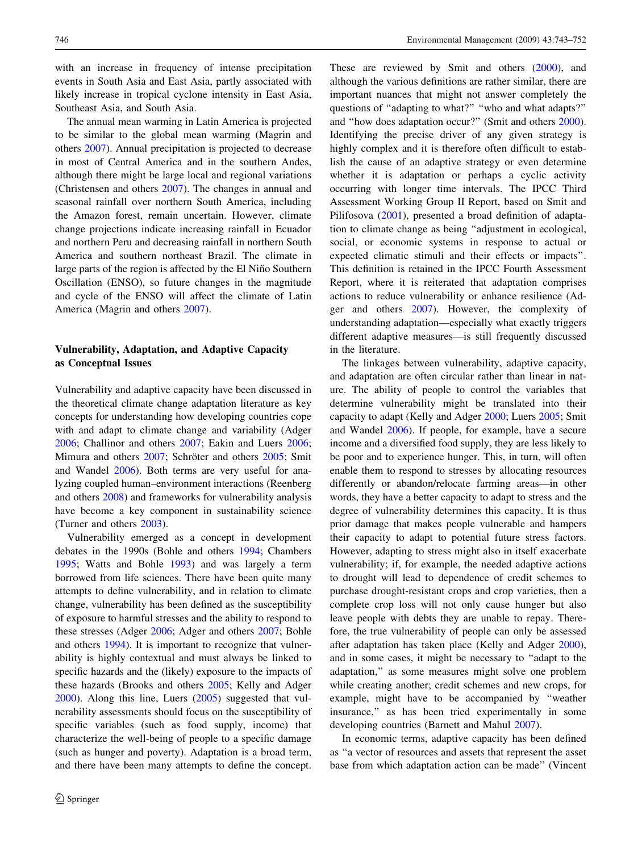with an increase in frequency of intense precipitation events in South Asia and East Asia, partly associated with likely increase in tropical cyclone intensity in East Asia, Southeast Asia, and South Asia.

The annual mean warming in Latin America is projected to be similar to the global mean warming (Magrin and others [2007](#page-9-0)). Annual precipitation is projected to decrease in most of Central America and in the southern Andes, although there might be large local and regional variations (Christensen and others [2007](#page-9-0)). The changes in annual and seasonal rainfall over northern South America, including the Amazon forest, remain uncertain. However, climate change projections indicate increasing rainfall in Ecuador and northern Peru and decreasing rainfall in northern South America and southern northeast Brazil. The climate in large parts of the region is affected by the El Niño Southern Oscillation (ENSO), so future changes in the magnitude and cycle of the ENSO will affect the climate of Latin America (Magrin and others [2007](#page-9-0)).

## Vulnerability, Adaptation, and Adaptive Capacity as Conceptual Issues

Vulnerability and adaptive capacity have been discussed in the theoretical climate change adaptation literature as key concepts for understanding how developing countries cope with and adapt to climate change and variability (Adger [2006;](#page-8-0) Challinor and others [2007;](#page-9-0) Eakin and Luers [2006](#page-9-0); Mimura and others [2007](#page-10-0); Schröter and others [2005;](#page-10-0) Smit and Wandel [2006\)](#page-10-0). Both terms are very useful for analyzing coupled human–environment interactions (Reenberg and others [2008](#page-10-0)) and frameworks for vulnerability analysis have become a key component in sustainability science (Turner and others [2003](#page-10-0)).

Vulnerability emerged as a concept in development debates in the 1990s (Bohle and others [1994](#page-9-0); Chambers [1995;](#page-9-0) Watts and Bohle [1993\)](#page-10-0) and was largely a term borrowed from life sciences. There have been quite many attempts to define vulnerability, and in relation to climate change, vulnerability has been defined as the susceptibility of exposure to harmful stresses and the ability to respond to these stresses (Adger [2006;](#page-8-0) Adger and others [2007](#page-9-0); Bohle and others [1994\)](#page-9-0). It is important to recognize that vulnerability is highly contextual and must always be linked to specific hazards and the (likely) exposure to the impacts of these hazards (Brooks and others [2005;](#page-9-0) Kelly and Adger [2000\)](#page-9-0). Along this line, Luers ([2005\)](#page-9-0) suggested that vulnerability assessments should focus on the susceptibility of specific variables (such as food supply, income) that characterize the well-being of people to a specific damage (such as hunger and poverty). Adaptation is a broad term, and there have been many attempts to define the concept.

These are reviewed by Smit and others [\(2000](#page-10-0)), and although the various definitions are rather similar, there are important nuances that might not answer completely the questions of ''adapting to what?'' ''who and what adapts?'' and ''how does adaptation occur?'' (Smit and others [2000](#page-10-0)). Identifying the precise driver of any given strategy is highly complex and it is therefore often difficult to establish the cause of an adaptive strategy or even determine whether it is adaptation or perhaps a cyclic activity occurring with longer time intervals. The IPCC Third Assessment Working Group II Report, based on Smit and Pilifosova ([2001\)](#page-10-0), presented a broad definition of adaptation to climate change as being ''adjustment in ecological, social, or economic systems in response to actual or expected climatic stimuli and their effects or impacts''. This definition is retained in the IPCC Fourth Assessment Report, where it is reiterated that adaptation comprises actions to reduce vulnerability or enhance resilience (Adger and others [2007\)](#page-9-0). However, the complexity of understanding adaptation—especially what exactly triggers different adaptive measures—is still frequently discussed in the literature.

The linkages between vulnerability, adaptive capacity, and adaptation are often circular rather than linear in nature. The ability of people to control the variables that determine vulnerability might be translated into their capacity to adapt (Kelly and Adger [2000](#page-9-0); Luers [2005;](#page-9-0) Smit and Wandel [2006](#page-10-0)). If people, for example, have a secure income and a diversified food supply, they are less likely to be poor and to experience hunger. This, in turn, will often enable them to respond to stresses by allocating resources differently or abandon/relocate farming areas—in other words, they have a better capacity to adapt to stress and the degree of vulnerability determines this capacity. It is thus prior damage that makes people vulnerable and hampers their capacity to adapt to potential future stress factors. However, adapting to stress might also in itself exacerbate vulnerability; if, for example, the needed adaptive actions to drought will lead to dependence of credit schemes to purchase drought-resistant crops and crop varieties, then a complete crop loss will not only cause hunger but also leave people with debts they are unable to repay. Therefore, the true vulnerability of people can only be assessed after adaptation has taken place (Kelly and Adger [2000](#page-9-0)), and in some cases, it might be necessary to ''adapt to the adaptation,'' as some measures might solve one problem while creating another; credit schemes and new crops, for example, might have to be accompanied by ''weather insurance,'' as has been tried experimentally in some developing countries (Barnett and Mahul [2007](#page-9-0)).

In economic terms, adaptive capacity has been defined as ''a vector of resources and assets that represent the asset base from which adaptation action can be made'' (Vincent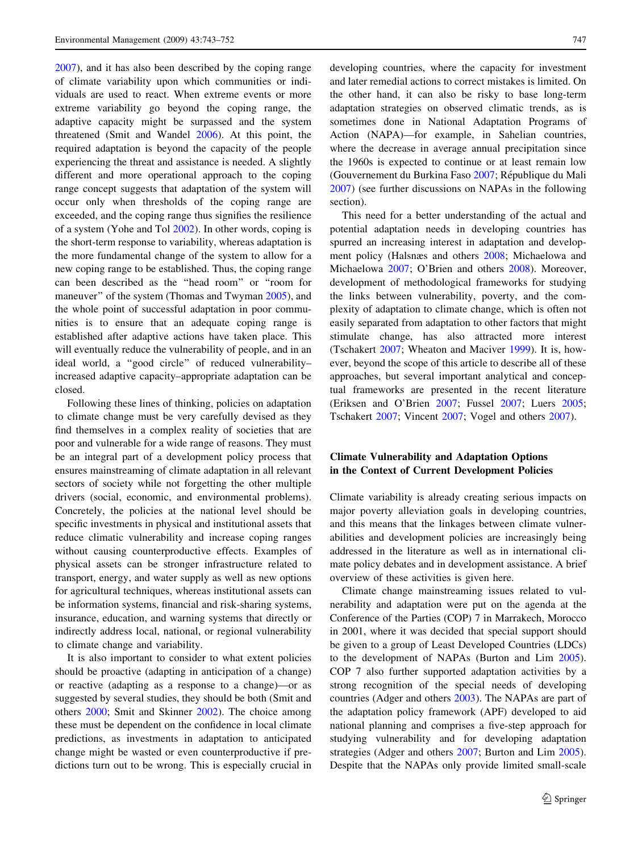[2007\)](#page-10-0), and it has also been described by the coping range of climate variability upon which communities or individuals are used to react. When extreme events or more extreme variability go beyond the coping range, the adaptive capacity might be surpassed and the system threatened (Smit and Wandel [2006](#page-10-0)). At this point, the required adaptation is beyond the capacity of the people experiencing the threat and assistance is needed. A slightly different and more operational approach to the coping range concept suggests that adaptation of the system will occur only when thresholds of the coping range are exceeded, and the coping range thus signifies the resilience of a system (Yohe and Tol [2002\)](#page-10-0). In other words, coping is the short-term response to variability, whereas adaptation is the more fundamental change of the system to allow for a new coping range to be established. Thus, the coping range can been described as the ''head room'' or ''room for maneuver" of the system (Thomas and Twyman [2005\)](#page-10-0), and the whole point of successful adaptation in poor communities is to ensure that an adequate coping range is established after adaptive actions have taken place. This will eventually reduce the vulnerability of people, and in an ideal world, a ''good circle'' of reduced vulnerability– increased adaptive capacity–appropriate adaptation can be closed.

Following these lines of thinking, policies on adaptation to climate change must be very carefully devised as they find themselves in a complex reality of societies that are poor and vulnerable for a wide range of reasons. They must be an integral part of a development policy process that ensures mainstreaming of climate adaptation in all relevant sectors of society while not forgetting the other multiple drivers (social, economic, and environmental problems). Concretely, the policies at the national level should be specific investments in physical and institutional assets that reduce climatic vulnerability and increase coping ranges without causing counterproductive effects. Examples of physical assets can be stronger infrastructure related to transport, energy, and water supply as well as new options for agricultural techniques, whereas institutional assets can be information systems, financial and risk-sharing systems, insurance, education, and warning systems that directly or indirectly address local, national, or regional vulnerability to climate change and variability.

It is also important to consider to what extent policies should be proactive (adapting in anticipation of a change) or reactive (adapting as a response to a change)—or as suggested by several studies, they should be both (Smit and others [2000](#page-10-0); Smit and Skinner [2002](#page-10-0)). The choice among these must be dependent on the confidence in local climate predictions, as investments in adaptation to anticipated change might be wasted or even counterproductive if predictions turn out to be wrong. This is especially crucial in developing countries, where the capacity for investment and later remedial actions to correct mistakes is limited. On the other hand, it can also be risky to base long-term adaptation strategies on observed climatic trends, as is sometimes done in National Adaptation Programs of Action (NAPA)—for example, in Sahelian countries, where the decrease in average annual precipitation since the 1960s is expected to continue or at least remain low (Gouvernement du Burkina Faso [2007](#page-9-0); République du Mali [2007](#page-10-0)) (see further discussions on NAPAs in the following section).

This need for a better understanding of the actual and potential adaptation needs in developing countries has spurred an increasing interest in adaptation and development policy (Halsnæs and others [2008;](#page-9-0) Michaelowa and Michaelowa [2007](#page-10-0); O'Brien and others [2008](#page-10-0)). Moreover, development of methodological frameworks for studying the links between vulnerability, poverty, and the complexity of adaptation to climate change, which is often not easily separated from adaptation to other factors that might stimulate change, has also attracted more interest (Tschakert [2007](#page-10-0); Wheaton and Maciver [1999\)](#page-10-0). It is, however, beyond the scope of this article to describe all of these approaches, but several important analytical and conceptual frameworks are presented in the recent literature (Eriksen and O'Brien [2007;](#page-9-0) Fussel [2007](#page-9-0); Luers [2005](#page-9-0); Tschakert [2007;](#page-10-0) Vincent [2007](#page-10-0); Vogel and others [2007](#page-10-0)).

## Climate Vulnerability and Adaptation Options in the Context of Current Development Policies

Climate variability is already creating serious impacts on major poverty alleviation goals in developing countries, and this means that the linkages between climate vulnerabilities and development policies are increasingly being addressed in the literature as well as in international climate policy debates and in development assistance. A brief overview of these activities is given here.

Climate change mainstreaming issues related to vulnerability and adaptation were put on the agenda at the Conference of the Parties (COP) 7 in Marrakech, Morocco in 2001, where it was decided that special support should be given to a group of Least Developed Countries (LDCs) to the development of NAPAs (Burton and Lim [2005](#page-9-0)). COP 7 also further supported adaptation activities by a strong recognition of the special needs of developing countries (Adger and others [2003](#page-8-0)). The NAPAs are part of the adaptation policy framework (APF) developed to aid national planning and comprises a five-step approach for studying vulnerability and for developing adaptation strategies (Adger and others [2007;](#page-9-0) Burton and Lim [2005](#page-9-0)). Despite that the NAPAs only provide limited small-scale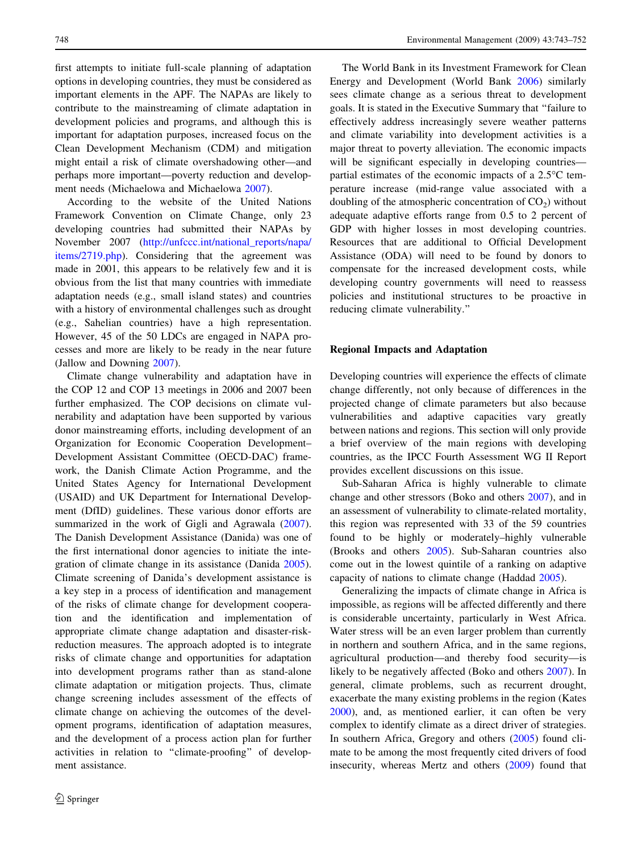first attempts to initiate full-scale planning of adaptation options in developing countries, they must be considered as important elements in the APF. The NAPAs are likely to contribute to the mainstreaming of climate adaptation in development policies and programs, and although this is important for adaptation purposes, increased focus on the Clean Development Mechanism (CDM) and mitigation might entail a risk of climate overshadowing other—and perhaps more important—poverty reduction and development needs (Michaelowa and Michaelowa [2007](#page-10-0)).

According to the website of the United Nations Framework Convention on Climate Change, only 23 developing countries had submitted their NAPAs by November 2007 ([http://unfccc.int/national\\_reports/napa/](http://unfccc.int/national_reports/napa/items/2719.php) [items/2719.php\)](http://unfccc.int/national_reports/napa/items/2719.php). Considering that the agreement was made in 2001, this appears to be relatively few and it is obvious from the list that many countries with immediate adaptation needs (e.g., small island states) and countries with a history of environmental challenges such as drought (e.g., Sahelian countries) have a high representation. However, 45 of the 50 LDCs are engaged in NAPA processes and more are likely to be ready in the near future (Jallow and Downing [2007\)](#page-9-0).

Climate change vulnerability and adaptation have in the COP 12 and COP 13 meetings in 2006 and 2007 been further emphasized. The COP decisions on climate vulnerability and adaptation have been supported by various donor mainstreaming efforts, including development of an Organization for Economic Cooperation Development– Development Assistant Committee (OECD-DAC) framework, the Danish Climate Action Programme, and the United States Agency for International Development (USAID) and UK Department for International Development (DfID) guidelines. These various donor efforts are summarized in the work of Gigli and Agrawala [\(2007](#page-9-0)). The Danish Development Assistance (Danida) was one of the first international donor agencies to initiate the integration of climate change in its assistance (Danida [2005](#page-9-0)). Climate screening of Danida's development assistance is a key step in a process of identification and management of the risks of climate change for development cooperation and the identification and implementation of appropriate climate change adaptation and disaster-riskreduction measures. The approach adopted is to integrate risks of climate change and opportunities for adaptation into development programs rather than as stand-alone climate adaptation or mitigation projects. Thus, climate change screening includes assessment of the effects of climate change on achieving the outcomes of the development programs, identification of adaptation measures, and the development of a process action plan for further activities in relation to ''climate-proofing'' of development assistance.

The World Bank in its Investment Framework for Clean Energy and Development (World Bank [2006\)](#page-10-0) similarly sees climate change as a serious threat to development goals. It is stated in the Executive Summary that ''failure to effectively address increasingly severe weather patterns and climate variability into development activities is a major threat to poverty alleviation. The economic impacts will be significant especially in developing countries partial estimates of the economic impacts of a  $2.5^{\circ}$ C temperature increase (mid-range value associated with a doubling of the atmospheric concentration of  $CO<sub>2</sub>$ ) without adequate adaptive efforts range from 0.5 to 2 percent of GDP with higher losses in most developing countries. Resources that are additional to Official Development Assistance (ODA) will need to be found by donors to compensate for the increased development costs, while developing country governments will need to reassess policies and institutional structures to be proactive in reducing climate vulnerability.''

## Regional Impacts and Adaptation

Developing countries will experience the effects of climate change differently, not only because of differences in the projected change of climate parameters but also because vulnerabilities and adaptive capacities vary greatly between nations and regions. This section will only provide a brief overview of the main regions with developing countries, as the IPCC Fourth Assessment WG II Report provides excellent discussions on this issue.

Sub-Saharan Africa is highly vulnerable to climate change and other stressors (Boko and others [2007\)](#page-9-0), and in an assessment of vulnerability to climate-related mortality, this region was represented with 33 of the 59 countries found to be highly or moderately–highly vulnerable (Brooks and others [2005\)](#page-9-0). Sub-Saharan countries also come out in the lowest quintile of a ranking on adaptive capacity of nations to climate change (Haddad [2005](#page-9-0)).

Generalizing the impacts of climate change in Africa is impossible, as regions will be affected differently and there is considerable uncertainty, particularly in West Africa. Water stress will be an even larger problem than currently in northern and southern Africa, and in the same regions, agricultural production—and thereby food security—is likely to be negatively affected (Boko and others [2007](#page-9-0)). In general, climate problems, such as recurrent drought, exacerbate the many existing problems in the region (Kates [2000](#page-9-0)), and, as mentioned earlier, it can often be very complex to identify climate as a direct driver of strategies. In southern Africa, Gregory and others [\(2005](#page-9-0)) found climate to be among the most frequently cited drivers of food insecurity, whereas Mertz and others [\(2009](#page-10-0)) found that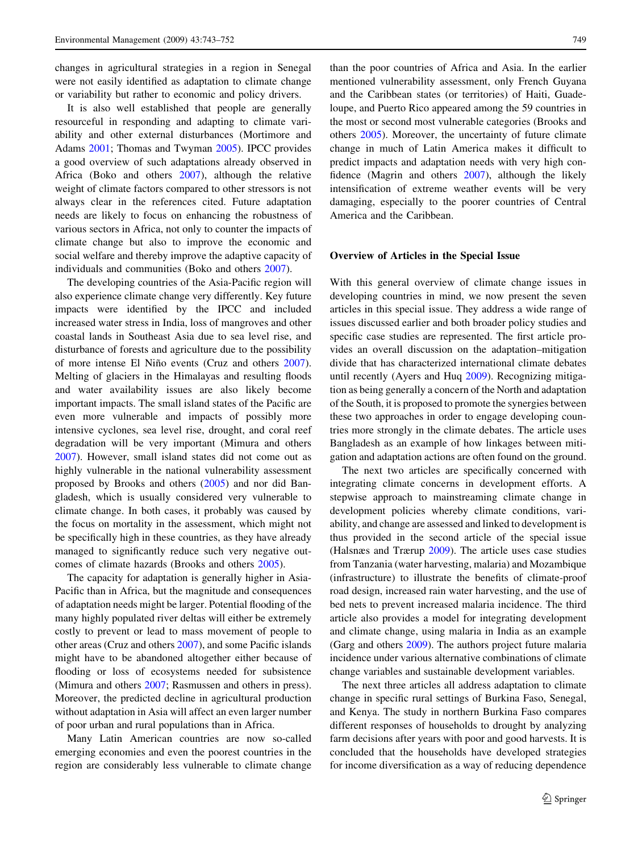changes in agricultural strategies in a region in Senegal were not easily identified as adaptation to climate change or variability but rather to economic and policy drivers.

It is also well established that people are generally resourceful in responding and adapting to climate variability and other external disturbances (Mortimore and Adams [2001;](#page-10-0) Thomas and Twyman [2005](#page-10-0)). IPCC provides a good overview of such adaptations already observed in Africa (Boko and others [2007](#page-9-0)), although the relative weight of climate factors compared to other stressors is not always clear in the references cited. Future adaptation needs are likely to focus on enhancing the robustness of various sectors in Africa, not only to counter the impacts of climate change but also to improve the economic and social welfare and thereby improve the adaptive capacity of individuals and communities (Boko and others [2007](#page-9-0)).

The developing countries of the Asia-Pacific region will also experience climate change very differently. Key future impacts were identified by the IPCC and included increased water stress in India, loss of mangroves and other coastal lands in Southeast Asia due to sea level rise, and disturbance of forests and agriculture due to the possibility of more intense El Niño events (Cruz and others [2007](#page-9-0)). Melting of glaciers in the Himalayas and resulting floods and water availability issues are also likely become important impacts. The small island states of the Pacific are even more vulnerable and impacts of possibly more intensive cyclones, sea level rise, drought, and coral reef degradation will be very important (Mimura and others [2007\)](#page-10-0). However, small island states did not come out as highly vulnerable in the national vulnerability assessment proposed by Brooks and others [\(2005](#page-9-0)) and nor did Bangladesh, which is usually considered very vulnerable to climate change. In both cases, it probably was caused by the focus on mortality in the assessment, which might not be specifically high in these countries, as they have already managed to significantly reduce such very negative outcomes of climate hazards (Brooks and others [2005](#page-9-0)).

The capacity for adaptation is generally higher in Asia-Pacific than in Africa, but the magnitude and consequences of adaptation needs might be larger. Potential flooding of the many highly populated river deltas will either be extremely costly to prevent or lead to mass movement of people to other areas (Cruz and others [2007](#page-9-0)), and some Pacific islands might have to be abandoned altogether either because of flooding or loss of ecosystems needed for subsistence (Mimura and others [2007](#page-10-0); Rasmussen and others in press). Moreover, the predicted decline in agricultural production without adaptation in Asia will affect an even larger number of poor urban and rural populations than in Africa.

Many Latin American countries are now so-called emerging economies and even the poorest countries in the region are considerably less vulnerable to climate change

than the poor countries of Africa and Asia. In the earlier mentioned vulnerability assessment, only French Guyana and the Caribbean states (or territories) of Haiti, Guadeloupe, and Puerto Rico appeared among the 59 countries in the most or second most vulnerable categories (Brooks and others [2005](#page-9-0)). Moreover, the uncertainty of future climate change in much of Latin America makes it difficult to predict impacts and adaptation needs with very high confidence (Magrin and others [2007](#page-9-0)), although the likely intensification of extreme weather events will be very damaging, especially to the poorer countries of Central America and the Caribbean.

#### Overview of Articles in the Special Issue

With this general overview of climate change issues in developing countries in mind, we now present the seven articles in this special issue. They address a wide range of issues discussed earlier and both broader policy studies and specific case studies are represented. The first article provides an overall discussion on the adaptation–mitigation divide that has characterized international climate debates until recently (Ayers and Huq [2009](#page-9-0)). Recognizing mitigation as being generally a concern of the North and adaptation of the South, it is proposed to promote the synergies between these two approaches in order to engage developing countries more strongly in the climate debates. The article uses Bangladesh as an example of how linkages between mitigation and adaptation actions are often found on the ground.

The next two articles are specifically concerned with integrating climate concerns in development efforts. A stepwise approach to mainstreaming climate change in development policies whereby climate conditions, variability, and change are assessed and linked to development is thus provided in the second article of the special issue (Halsnæs and Trærup [2009\)](#page-9-0). The article uses case studies from Tanzania (water harvesting, malaria) and Mozambique (infrastructure) to illustrate the benefits of climate-proof road design, increased rain water harvesting, and the use of bed nets to prevent increased malaria incidence. The third article also provides a model for integrating development and climate change, using malaria in India as an example (Garg and others [2009\)](#page-9-0). The authors project future malaria incidence under various alternative combinations of climate change variables and sustainable development variables.

The next three articles all address adaptation to climate change in specific rural settings of Burkina Faso, Senegal, and Kenya. The study in northern Burkina Faso compares different responses of households to drought by analyzing farm decisions after years with poor and good harvests. It is concluded that the households have developed strategies for income diversification as a way of reducing dependence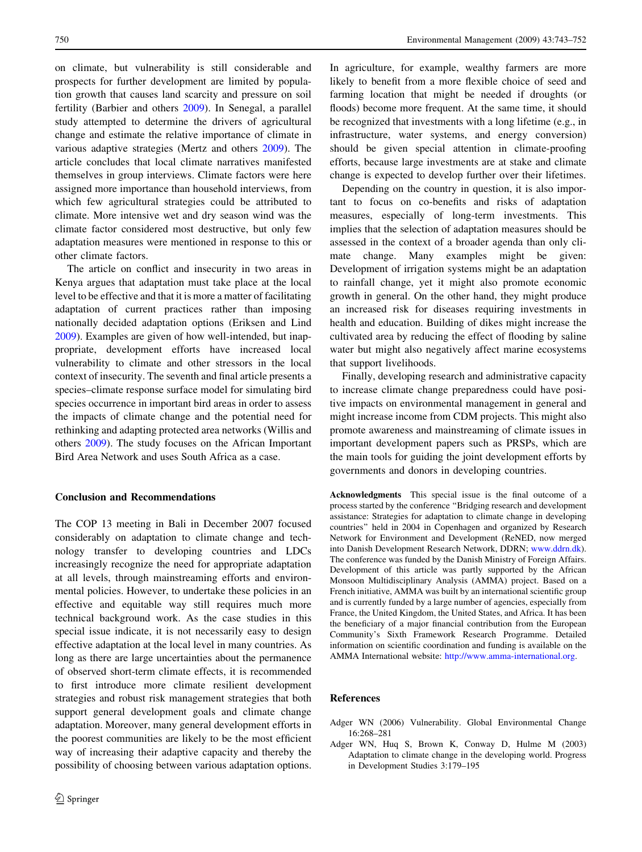<span id="page-8-0"></span>on climate, but vulnerability is still considerable and prospects for further development are limited by population growth that causes land scarcity and pressure on soil fertility (Barbier and others [2009\)](#page-9-0). In Senegal, a parallel study attempted to determine the drivers of agricultural change and estimate the relative importance of climate in various adaptive strategies (Mertz and others [2009\)](#page-10-0). The article concludes that local climate narratives manifested themselves in group interviews. Climate factors were here assigned more importance than household interviews, from which few agricultural strategies could be attributed to climate. More intensive wet and dry season wind was the climate factor considered most destructive, but only few adaptation measures were mentioned in response to this or other climate factors.

The article on conflict and insecurity in two areas in Kenya argues that adaptation must take place at the local level to be effective and that it is more a matter of facilitating adaptation of current practices rather than imposing nationally decided adaptation options (Eriksen and Lind [2009\)](#page-9-0). Examples are given of how well-intended, but inappropriate, development efforts have increased local vulnerability to climate and other stressors in the local context of insecurity. The seventh and final article presents a species–climate response surface model for simulating bird species occurrence in important bird areas in order to assess the impacts of climate change and the potential need for rethinking and adapting protected area networks (Willis and others [2009\)](#page-10-0). The study focuses on the African Important Bird Area Network and uses South Africa as a case.

#### Conclusion and Recommendations

The COP 13 meeting in Bali in December 2007 focused considerably on adaptation to climate change and technology transfer to developing countries and LDCs increasingly recognize the need for appropriate adaptation at all levels, through mainstreaming efforts and environmental policies. However, to undertake these policies in an effective and equitable way still requires much more technical background work. As the case studies in this special issue indicate, it is not necessarily easy to design effective adaptation at the local level in many countries. As long as there are large uncertainties about the permanence of observed short-term climate effects, it is recommended to first introduce more climate resilient development strategies and robust risk management strategies that both support general development goals and climate change adaptation. Moreover, many general development efforts in the poorest communities are likely to be the most efficient way of increasing their adaptive capacity and thereby the possibility of choosing between various adaptation options.

In agriculture, for example, wealthy farmers are more likely to benefit from a more flexible choice of seed and farming location that might be needed if droughts (or floods) become more frequent. At the same time, it should be recognized that investments with a long lifetime (e.g., in infrastructure, water systems, and energy conversion) should be given special attention in climate-proofing efforts, because large investments are at stake and climate change is expected to develop further over their lifetimes.

Depending on the country in question, it is also important to focus on co-benefits and risks of adaptation measures, especially of long-term investments. This implies that the selection of adaptation measures should be assessed in the context of a broader agenda than only climate change. Many examples might be given: Development of irrigation systems might be an adaptation to rainfall change, yet it might also promote economic growth in general. On the other hand, they might produce an increased risk for diseases requiring investments in health and education. Building of dikes might increase the cultivated area by reducing the effect of flooding by saline water but might also negatively affect marine ecosystems that support livelihoods.

Finally, developing research and administrative capacity to increase climate change preparedness could have positive impacts on environmental management in general and might increase income from CDM projects. This might also promote awareness and mainstreaming of climate issues in important development papers such as PRSPs, which are the main tools for guiding the joint development efforts by governments and donors in developing countries.

Acknowledgments This special issue is the final outcome of a process started by the conference ''Bridging research and development assistance: Strategies for adaptation to climate change in developing countries'' held in 2004 in Copenhagen and organized by Research Network for Environment and Development (ReNED, now merged into Danish Development Research Network, DDRN; [www.ddrn.dk](http://www.ddrn.dk)). The conference was funded by the Danish Ministry of Foreign Affairs. Development of this article was partly supported by the African Monsoon Multidisciplinary Analysis (AMMA) project. Based on a French initiative, AMMA was built by an international scientific group and is currently funded by a large number of agencies, especially from France, the United Kingdom, the United States, and Africa. It has been the beneficiary of a major financial contribution from the European Community's Sixth Framework Research Programme. Detailed information on scientific coordination and funding is available on the AMMA International website: [http://www.amma-international.org.](http://www.amma-international.org)

#### References

- Adger WN (2006) Vulnerability. Global Environmental Change 16:268–281
- Adger WN, Huq S, Brown K, Conway D, Hulme M (2003) Adaptation to climate change in the developing world. Progress in Development Studies 3:179–195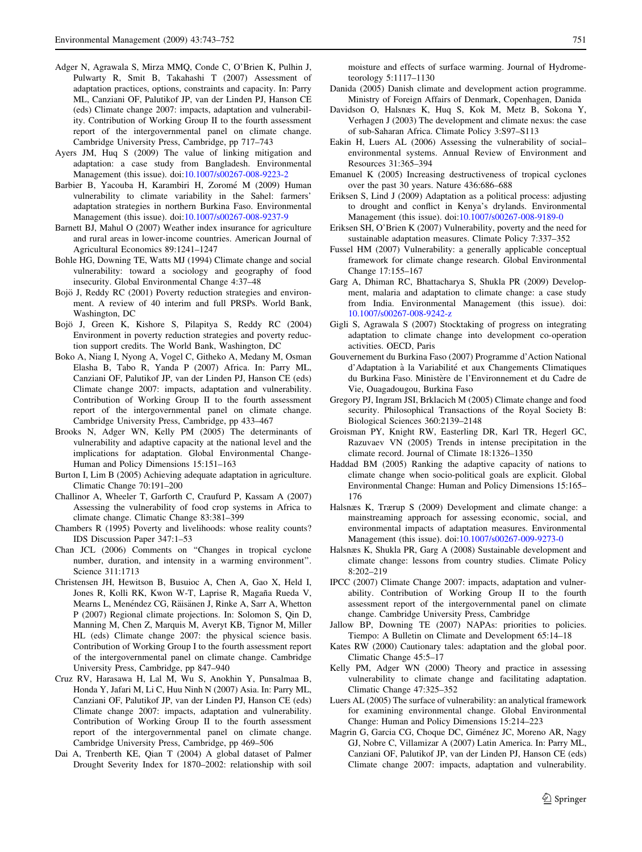- <span id="page-9-0"></span>Adger N, Agrawala S, Mirza MMQ, Conde C, O'Brien K, Pulhin J, Pulwarty R, Smit B, Takahashi T (2007) Assessment of adaptation practices, options, constraints and capacity. In: Parry ML, Canziani OF, Palutikof JP, van der Linden PJ, Hanson CE (eds) Climate change 2007: impacts, adaptation and vulnerability. Contribution of Working Group II to the fourth assessment report of the intergovernmental panel on climate change. Cambridge University Press, Cambridge, pp 717–743
- Ayers JM, Huq S (2009) The value of linking mitigation and adaptation: a case study from Bangladesh. Environmental Management (this issue). doi[:10.1007/s00267-008-9223-2](http://dx.doi.org/10.1007/s00267-008-9223-2)
- Barbier B, Yacouba H, Karambiri H, Zoromé M (2009) Human vulnerability to climate variability in the Sahel: farmers' adaptation strategies in northern Burkina Faso. Environmental Management (this issue). doi[:10.1007/s00267-008-9237-9](http://dx.doi.org/10.1007/s00267-008-9237-9)
- Barnett BJ, Mahul O (2007) Weather index insurance for agriculture and rural areas in lower-income countries. American Journal of Agricultural Economics 89:1241–1247
- Bohle HG, Downing TE, Watts MJ (1994) Climate change and social vulnerability: toward a sociology and geography of food insecurity. Global Environmental Change 4:37–48
- Bojö J, Reddy RC (2001) Poverty reduction strategies and environment. A review of 40 interim and full PRSPs. World Bank, Washington, DC
- Bojo¨ J, Green K, Kishore S, Pilapitya S, Reddy RC (2004) Environment in poverty reduction strategies and poverty reduction support credits. The World Bank, Washington, DC
- Boko A, Niang I, Nyong A, Vogel C, Githeko A, Medany M, Osman Elasha B, Tabo R, Yanda P (2007) Africa. In: Parry ML, Canziani OF, Palutikof JP, van der Linden PJ, Hanson CE (eds) Climate change 2007: impacts, adaptation and vulnerability. Contribution of Working Group II to the fourth assessment report of the intergovernmental panel on climate change. Cambridge University Press, Cambridge, pp 433–467
- Brooks N, Adger WN, Kelly PM (2005) The determinants of vulnerability and adaptive capacity at the national level and the implications for adaptation. Global Environmental Change-Human and Policy Dimensions 15:151–163
- Burton I, Lim B (2005) Achieving adequate adaptation in agriculture. Climatic Change 70:191–200
- Challinor A, Wheeler T, Garforth C, Craufurd P, Kassam A (2007) Assessing the vulnerability of food crop systems in Africa to climate change. Climatic Change 83:381–399
- Chambers R (1995) Poverty and livelihoods: whose reality counts? IDS Discussion Paper 347:1–53
- Chan JCL (2006) Comments on ''Changes in tropical cyclone number, duration, and intensity in a warming environment''. Science 311:1713
- Christensen JH, Hewitson B, Busuioc A, Chen A, Gao X, Held I, Jones R, Kolli RK, Kwon W-T, Laprise R, Magaña Rueda V, Mearns L, Menéndez CG, Räisänen J, Rinke A, Sarr A, Whetton P (2007) Regional climate projections. In: Solomon S, Qin D, Manning M, Chen Z, Marquis M, Averyt KB, Tignor M, Miller HL (eds) Climate change 2007: the physical science basis. Contribution of Working Group I to the fourth assessment report of the intergovernmental panel on climate change. Cambridge University Press, Cambridge, pp 847–940
- Cruz RV, Harasawa H, Lal M, Wu S, Anokhin Y, Punsalmaa B, Honda Y, Jafari M, Li C, Huu Ninh N (2007) Asia. In: Parry ML, Canziani OF, Palutikof JP, van der Linden PJ, Hanson CE (eds) Climate change 2007: impacts, adaptation and vulnerability. Contribution of Working Group II to the fourth assessment report of the intergovernmental panel on climate change. Cambridge University Press, Cambridge, pp 469–506
- Dai A, Trenberth KE, Qian T (2004) A global dataset of Palmer Drought Severity Index for 1870–2002: relationship with soil

moisture and effects of surface warming. Journal of Hydrometeorology 5:1117–1130

- Danida (2005) Danish climate and development action programme. Ministry of Foreign Affairs of Denmark, Copenhagen, Danida
- Davidson O, Halsnæs K, Huq S, Kok M, Metz B, Sokona Y, Verhagen J (2003) The development and climate nexus: the case of sub-Saharan Africa. Climate Policy 3:S97–S113
- Eakin H, Luers AL (2006) Assessing the vulnerability of social– environmental systems. Annual Review of Environment and Resources 31:365–394
- Emanuel K (2005) Increasing destructiveness of tropical cyclones over the past 30 years. Nature 436:686–688
- Eriksen S, Lind J (2009) Adaptation as a political process: adjusting to drought and conflict in Kenya's drylands. Environmental Management (this issue). doi[:10.1007/s00267-008-9189-0](http://dx.doi.org/10.1007/s00267-008-9189-0)
- Eriksen SH, O'Brien K (2007) Vulnerability, poverty and the need for sustainable adaptation measures. Climate Policy 7:337–352
- Fussel HM (2007) Vulnerability: a generally applicable conceptual framework for climate change research. Global Environmental Change 17:155–167
- Garg A, Dhiman RC, Bhattacharya S, Shukla PR (2009) Development, malaria and adaptation to climate change: a case study from India. Environmental Management (this issue). doi: [10.1007/s00267-008-9242-z](http://dx.doi.org/10.1007/s00267-008-9242-z)
- Gigli S, Agrawala S (2007) Stocktaking of progress on integrating adaptation to climate change into development co-operation activities. OECD, Paris
- Gouvernement du Burkina Faso (2007) Programme d'Action National d'Adaptation à la Variabilité et aux Changements Climatiques du Burkina Faso. Ministère de l'Environnement et du Cadre de Vie, Ouagadougou, Burkina Faso
- Gregory PJ, Ingram JSI, Brklacich M (2005) Climate change and food security. Philosophical Transactions of the Royal Society B: Biological Sciences 360:2139–2148
- Groisman PY, Knight RW, Easterling DR, Karl TR, Hegerl GC, Razuvaev VN (2005) Trends in intense precipitation in the climate record. Journal of Climate 18:1326–1350
- Haddad BM (2005) Ranking the adaptive capacity of nations to climate change when socio-political goals are explicit. Global Environmental Change: Human and Policy Dimensions 15:165– 176
- Halsnæs K, Trærup S (2009) Development and climate change: a mainstreaming approach for assessing economic, social, and environmental impacts of adaptation measures. Environmental Management (this issue). doi[:10.1007/s00267-009-9273-0](http://dx.doi.org/10.1007/s00267-009-9273-0)
- Halsnæs K, Shukla PR, Garg A (2008) Sustainable development and climate change: lessons from country studies. Climate Policy 8:202–219
- IPCC (2007) Climate Change 2007: impacts, adaptation and vulnerability. Contribution of Working Group II to the fourth assessment report of the intergovernmental panel on climate change. Cambridge University Press, Cambridge
- Jallow BP, Downing TE (2007) NAPAs: priorities to policies. Tiempo: A Bulletin on Climate and Development 65:14–18
- Kates RW (2000) Cautionary tales: adaptation and the global poor. Climatic Change 45:5–17
- Kelly PM, Adger WN (2000) Theory and practice in assessing vulnerability to climate change and facilitating adaptation. Climatic Change 47:325–352
- Luers AL (2005) The surface of vulnerability: an analytical framework for examining environmental change. Global Environmental Change: Human and Policy Dimensions 15:214–223
- Magrin G, Garcia CG, Choque DC, Giménez JC, Moreno AR, Nagy GJ, Nobre C, Villamizar A (2007) Latin America. In: Parry ML, Canziani OF, Palutikof JP, van der Linden PJ, Hanson CE (eds) Climate change 2007: impacts, adaptation and vulnerability.